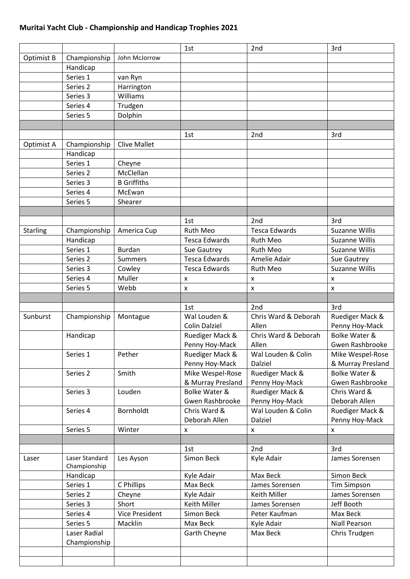## **Muritai Yacht Club - Championship and Handicap Trophies 2021**

|                 |                |                       | 1st                      | 2nd                  | 3rd                      |
|-----------------|----------------|-----------------------|--------------------------|----------------------|--------------------------|
| Optimist B      | Championship   | John McJorrow         |                          |                      |                          |
|                 | Handicap       |                       |                          |                      |                          |
|                 | Series 1       | van Ryn               |                          |                      |                          |
|                 | Series 2       | Harrington            |                          |                      |                          |
|                 | Series 3       | Williams              |                          |                      |                          |
|                 | Series 4       | Trudgen               |                          |                      |                          |
|                 | Series 5       | Dolphin               |                          |                      |                          |
|                 |                |                       |                          |                      |                          |
|                 |                |                       | 1st                      | 2nd                  | 3rd                      |
| Optimist A      | Championship   | <b>Clive Mallet</b>   |                          |                      |                          |
|                 | Handicap       |                       |                          |                      |                          |
|                 | Series 1       | Cheyne                |                          |                      |                          |
|                 | Series 2       | McClellan             |                          |                      |                          |
|                 | Series 3       | <b>B</b> Griffiths    |                          |                      |                          |
|                 | Series 4       | McEwan                |                          |                      |                          |
|                 | Series 5       | Shearer               |                          |                      |                          |
|                 |                |                       |                          |                      |                          |
|                 |                |                       | 1st                      | 2nd                  | 3rd                      |
|                 | Championship   |                       | <b>Ruth Meo</b>          | <b>Tesca Edwards</b> |                          |
| <b>Starling</b> |                | America Cup           |                          |                      | <b>Suzanne Willis</b>    |
|                 | Handicap       |                       | <b>Tesca Edwards</b>     | Ruth Meo             | <b>Suzanne Willis</b>    |
|                 | Series 1       | <b>Burdan</b>         | Sue Gautrey              | Ruth Meo             | <b>Suzanne Willis</b>    |
|                 | Series 2       | <b>Summers</b>        | <b>Tesca Edwards</b>     | Amelie Adair         | Sue Gautrey              |
|                 | Series 3       | Cowley                | <b>Tesca Edwards</b>     | Ruth Meo             | <b>Suzanne Willis</b>    |
|                 | Series 4       | Muller                | x                        | X                    | X                        |
|                 | Series 5       | Webb                  | x                        | x                    | X                        |
|                 |                |                       |                          |                      |                          |
|                 |                |                       | 1st                      | 2nd                  | 3rd                      |
| Sunburst        | Championship   | Montague              | Wal Louden &             | Chris Ward & Deborah | Ruediger Mack &          |
|                 |                |                       | <b>Colin Dalziel</b>     | Allen                | Penny Hoy-Mack           |
|                 | Handicap       |                       | Ruediger Mack &          | Chris Ward & Deborah | <b>Bolke Water &amp;</b> |
|                 |                |                       | Penny Hoy-Mack           | Allen                | Gwen Rashbrooke          |
|                 | Series 1       | Pether                | Ruediger Mack &          | Wal Louden & Colin   | Mike Wespel-Rose         |
|                 |                |                       | Penny Hoy-Mack           | Dalziel              | & Murray Presland        |
|                 | Series 2       | Smith                 | Mike Wespel-Rose         | Ruediger Mack &      | Bolke Water &            |
|                 |                |                       | & Murray Presland        | Penny Hoy-Mack       | Gwen Rashbrooke          |
|                 | Series 3       | Louden                | <b>Bolke Water &amp;</b> | Ruediger Mack &      | Chris Ward &             |
|                 |                |                       | Gwen Rashbrooke          | Penny Hoy-Mack       | Deborah Allen            |
|                 | Series 4       | Bornholdt             | Chris Ward &             | Wal Louden & Colin   | Ruediger Mack &          |
|                 |                |                       | Deborah Allen            | Dalziel              | Penny Hoy-Mack           |
|                 | Series 5       | Winter                | x                        | x                    | $\pmb{\times}$           |
|                 |                |                       |                          |                      |                          |
|                 |                |                       | 1st                      | 2nd                  | 3rd                      |
| Laser           | Laser Standard | Les Ayson             | Simon Beck               | Kyle Adair           | James Sorensen           |
|                 | Championship   |                       |                          |                      |                          |
|                 | Handicap       |                       | Kyle Adair               | Max Beck             | Simon Beck               |
|                 | Series 1       | C Phillips            | Max Beck                 | James Sorensen       | <b>Tim Simpson</b>       |
|                 | Series 2       | Cheyne                | Kyle Adair               | Keith Miller         | James Sorensen           |
|                 | Series 3       | Short                 | Keith Miller             | James Sorensen       | Jeff Booth               |
|                 | Series 4       | <b>Vice President</b> | Simon Beck               | Peter Kaufman        | Max Beck                 |
|                 | Series 5       | Macklin               | Max Beck                 | Kyle Adair           | <b>Niall Pearson</b>     |
|                 | Laser Radial   |                       | Garth Cheyne             | Max Beck             | Chris Trudgen            |
|                 | Championship   |                       |                          |                      |                          |
|                 |                |                       |                          |                      |                          |
|                 |                |                       |                          |                      |                          |